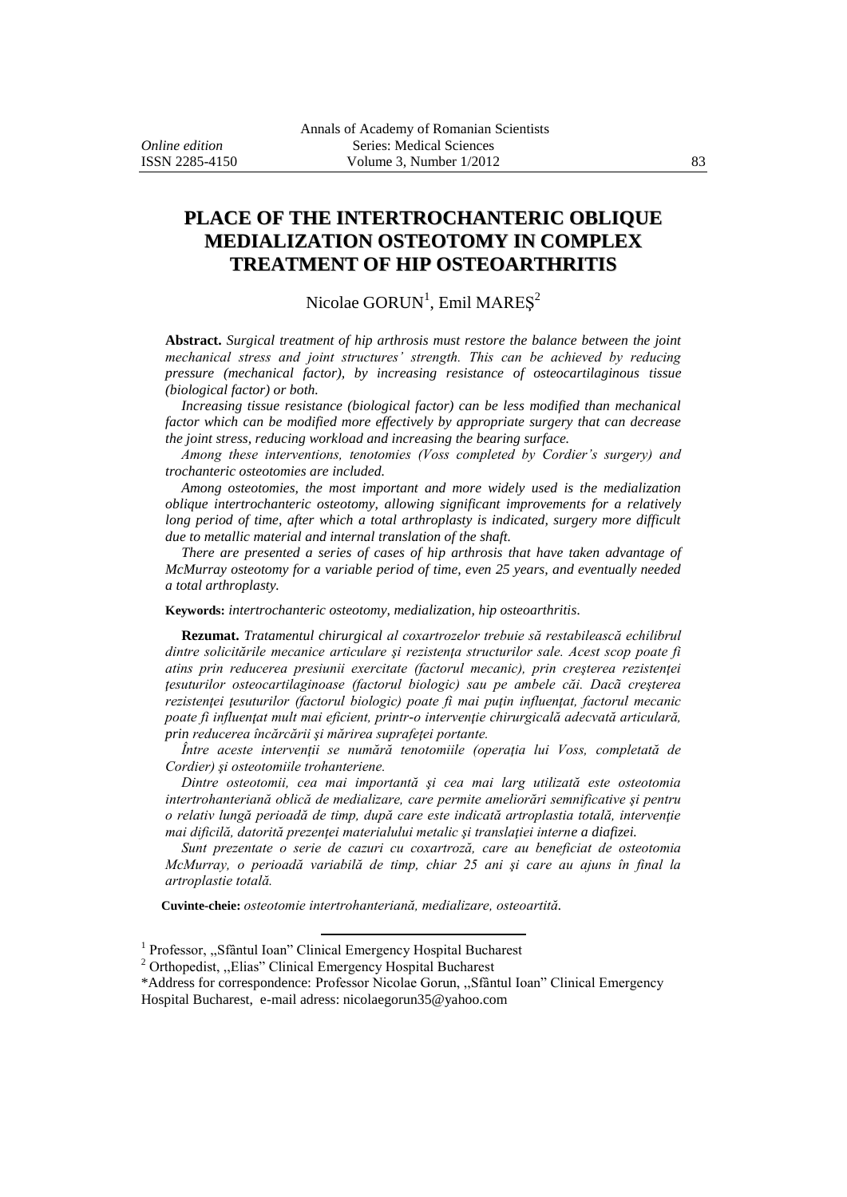# **PLACE OF THE INTERTROCHANTERIC OBLIQUE MEDIALIZATION OSTEOTOMY IN COMPLEX TREATMENT OF HIP OSTEOARTHRITIS**

## Nicolae  $\text{GORUN}^1$ , Emil  $\text{MARES}^2$

**Abstract.** *Surgical treatment of hip arthrosis must restore the balance between the joint mechanical stress and joint structures' strength. This can be achieved by reducing pressure (mechanical factor), by increasing resistance of osteocartilaginous tissue (biological factor) or both.* 

*Increasing tissue resistance (biological factor) can be less modified than mechanical factor which can be modified more effectively by appropriate surgery that can decrease the joint stress, reducing workload and increasing the bearing surface.*

*Among these interventions, tenotomies (Voss completed by Cordier's surgery) and trochanteric osteotomies are included.*

*Among osteotomies, the most important and more widely used is the medialization oblique intertrochanteric osteotomy, allowing significant improvements for a relatively long period of time, after which a total arthroplasty is indicated, surgery more difficult due to metallic material and internal translation of the shaft.*

*There are presented a series of cases of hip arthrosis that have taken advantage of McMurray osteotomy for a variable period of time, even 25 years, and eventually needed a total arthroplasty.*

**Keywords:** *intertrochanteric osteotomy, medialization, hip osteoarthritis.*

**Rezumat.** *Tratamentul chirurgical al coxartrozelor trebuie să restabilească echilibrul dintre solicitările mecanice articulare şi rezistenţa structurilor sale. Acest scop poate fi atins prin reducerea presiunii exercitate (factorul mecanic), prin creşterea rezistenţei ţesuturilor osteocartilaginoase (factorul biologic) sau pe ambele căi. Dacã creşterea rezistenţei ţesuturilor (factorul biologic) poate fi mai puţin influenţat, factorul mecanic poate fi influenţat mult mai eficient, printr-o intervenţie chirurgicală adecvată articulară, prin reducerea încărcării şi mărirea suprafeţei portante.* 

*Între aceste intervenţii se numără tenotomiile (operaţia lui Voss, completată de Cordier) şi osteotomiile trohanteriene.*

*Dintre osteotomii, cea mai importantă şi cea mai larg utilizată este osteotomia intertrohanteriană oblică de medializare, care permite ameliorări semnificative şi pentru o relativ lungă perioadă de timp, după care este indicată artroplastia totală, intervenţie mai dificilă, datorită prezenţei materialului metalic şi translaţiei interne a diafizei.*

*Sunt prezentate o serie de cazuri cu coxartroză, care au beneficiat de osteotomia McMurray, o perioadă variabilă de timp, chiar 25 ani şi care au ajuns în final la artroplastie totală.*

**Cuvinte-cheie:** *osteotomie intertrohanteriană, medializare, osteoartită.*

 $\overline{a}$ 

<sup>&</sup>lt;sup>1</sup> Professor, "Sfântul Ioan" Clinical Emergency Hospital Bucharest

<sup>2</sup> Orthopedist, ,,Elias" Clinical Emergency Hospital Bucharest

<sup>\*</sup>Address for correspondence: Professor Nicolae Gorun, ,,Sfântul Ioan" Clinical Emergency Hospital Bucharest, e-mail adress: nicolaegorun35@yahoo.com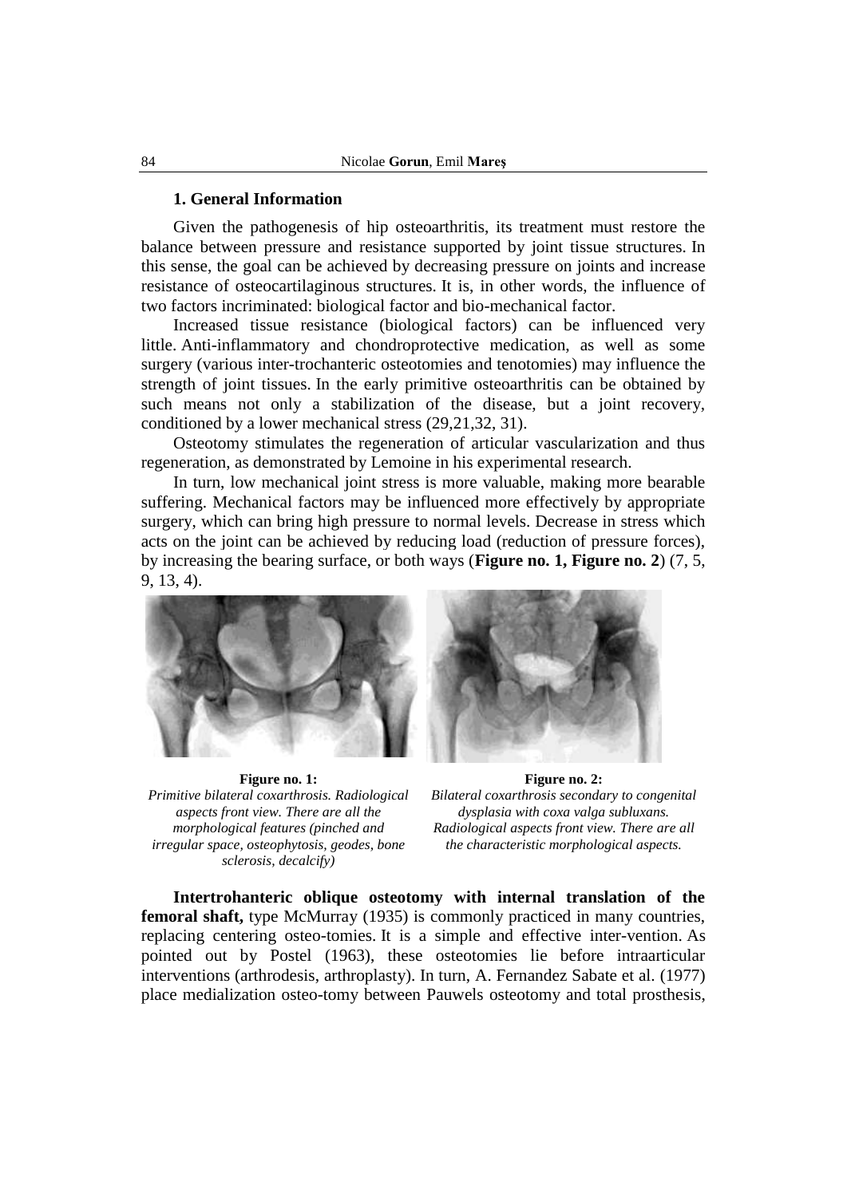#### **1. General Information**

Given the pathogenesis of hip osteoarthritis, its treatment must restore the balance between pressure and resistance supported by joint tissue structures. In this sense, the goal can be achieved by decreasing pressure on joints and increase resistance of osteocartilaginous structures. It is, in other words, the influence of two factors incriminated: biological factor and bio-mechanical factor.

Increased tissue resistance (biological factors) can be influenced very little. Anti-inflammatory and chondroprotective medication, as well as some surgery (various inter-trochanteric osteotomies and tenotomies) may influence the strength of joint tissues. In the early primitive osteoarthritis can be obtained by such means not only a stabilization of the disease, but a joint recovery, conditioned by a lower mechanical stress (29,21,32, 31).

Osteotomy stimulates the regeneration of articular vascularization and thus regeneration, as demonstrated by Lemoine in his experimental research.

In turn, low mechanical joint stress is more valuable, making more bearable suffering. Mechanical factors may be influenced more effectively by appropriate surgery, which can bring high pressure to normal levels. Decrease in stress which acts on the joint can be achieved by reducing load (reduction of pressure forces), by increasing the bearing surface, or both ways (**Figure no. 1, Figure no. 2**) (7, 5, 9, 13, 4).



**Figure no. 1:** *Primitive bilateral coxarthrosis. Radiological aspects front view. There are all the morphological features (pinched and irregular space, osteophytosis, geodes, bone sclerosis, decalcify)*



**Figure no. 2:** *Bilateral coxarthrosis secondary to congenital dysplasia with coxa valga subluxans. Radiological aspects front view. There are all the characteristic morphological aspects.*

**Intertrohanteric oblique osteotomy with internal translation of the femoral shaft,** type McMurray (1935) is commonly practiced in many countries, replacing centering osteo-tomies. It is a simple and effective inter-vention. As pointed out by Postel (1963), these osteotomies lie before intraarticular interventions (arthrodesis, arthroplasty). In turn, A. Fernandez Sabate et al. (1977) place medialization osteo-tomy between Pauwels osteotomy and total prosthesis,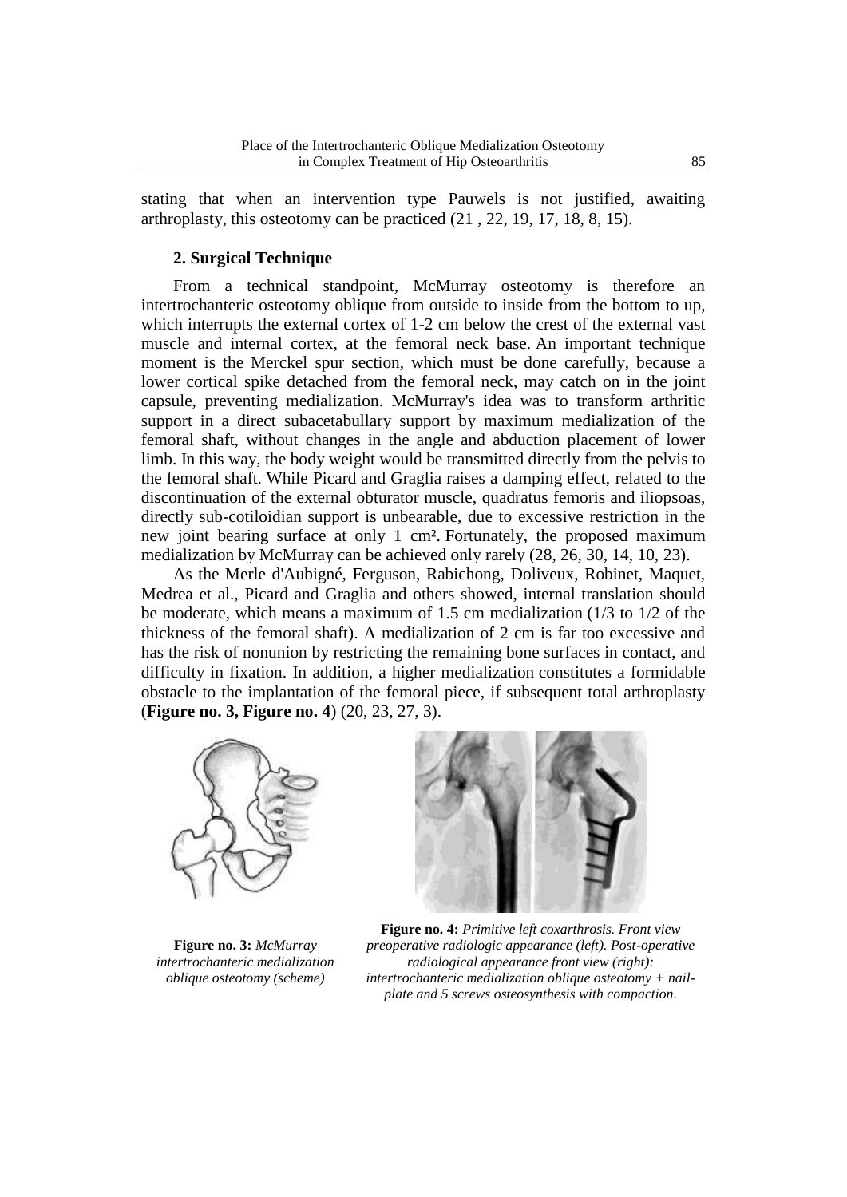stating that when an intervention type Pauwels is not justified, awaiting arthroplasty, this osteotomy can be practiced (21 , 22, 19, 17, 18, 8, 15).

### **2. Surgical Technique**

From a technical standpoint, McMurray osteotomy is therefore an intertrochanteric osteotomy oblique from outside to inside from the bottom to up, which interrupts the external cortex of 1-2 cm below the crest of the external vast muscle and internal cortex, at the femoral neck base. An important technique moment is the Merckel spur section, which must be done carefully, because a lower cortical spike detached from the femoral neck, may catch on in the joint capsule, preventing medialization. McMurray's idea was to transform arthritic support in a direct subacetabullary support by maximum medialization of the femoral shaft, without changes in the angle and abduction placement of lower limb. In this way, the body weight would be transmitted directly from the pelvis to the femoral shaft. While Picard and Graglia raises a damping effect, related to the discontinuation of the external obturator muscle, quadratus femoris and iliopsoas, directly sub-cotiloidian support is unbearable, due to excessive restriction in the new joint bearing surface at only 1 cm². Fortunately, the proposed maximum medialization by McMurray can be achieved only rarely (28, 26, 30, 14, 10, 23).

As the Merle d'Aubigné, Ferguson, Rabichong, Doliveux, Robinet, Maquet, Medrea et al., Picard and Graglia and others showed, internal translation should be moderate, which means a maximum of 1.5 cm medialization (1/3 to 1/2 of the thickness of the femoral shaft). A medialization of 2 cm is far too excessive and has the risk of nonunion by restricting the remaining bone surfaces in contact, and difficulty in fixation. In addition, a higher medialization constitutes a formidable obstacle to the implantation of the femoral piece, if subsequent total arthroplasty (**Figure no. 3, Figure no. 4**) (20, 23, 27, 3).



**Figure no. 3:** *McMurray intertrochanteric medialization oblique osteotomy (scheme)*



**Figure no. 4:** *Primitive left coxarthrosis. Front view preoperative radiologic appearance (left). Post-operative radiological appearance front view (right): intertrochanteric medialization oblique osteotomy + nailplate and 5 screws osteosynthesis with compaction.*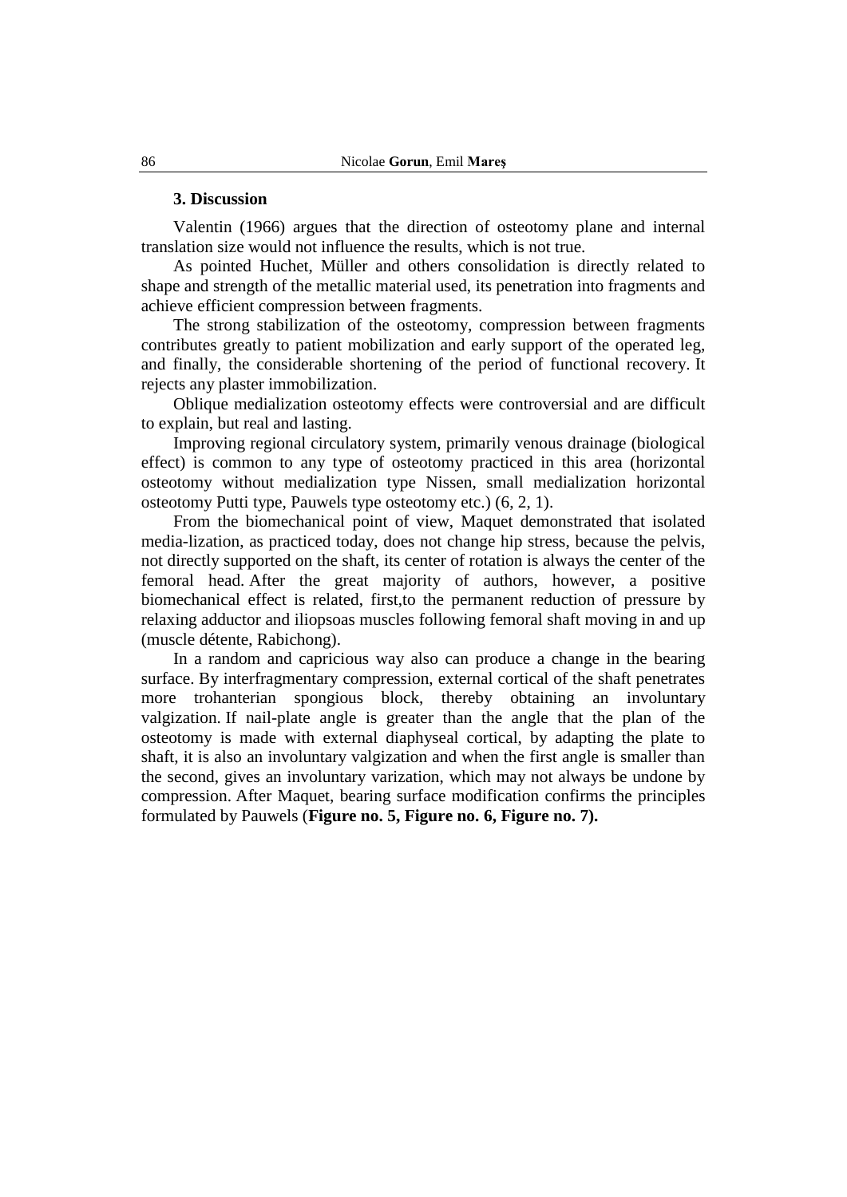#### **3. Discussion**

Valentin (1966) argues that the direction of osteotomy plane and internal translation size would not influence the results, which is not true.

As pointed Huchet, Müller and others consolidation is directly related to shape and strength of the metallic material used, its penetration into fragments and achieve efficient compression between fragments.

The strong stabilization of the osteotomy, compression between fragments contributes greatly to patient mobilization and early support of the operated leg, and finally, the considerable shortening of the period of functional recovery. It rejects any plaster immobilization.

Oblique medialization osteotomy effects were controversial and are difficult to explain, but real and lasting.

Improving regional circulatory system, primarily venous drainage (biological effect) is common to any type of osteotomy practiced in this area (horizontal osteotomy without medialization type Nissen, small medialization horizontal osteotomy Putti type, Pauwels type osteotomy etc.) (6, 2, 1).

From the biomechanical point of view, Maquet demonstrated that isolated media-lization, as practiced today, does not change hip stress, because the pelvis, not directly supported on the shaft, its center of rotation is always the center of the femoral head. After the great majority of authors, however, a positive biomechanical effect is related, first,to the permanent reduction of pressure by relaxing adductor and iliopsoas muscles following femoral shaft moving in and up (muscle détente, Rabichong).

In a random and capricious way also can produce a change in the bearing surface. By interfragmentary compression, external cortical of the shaft penetrates more trohanterian spongious block, thereby obtaining an involuntary valgization. If nail-plate angle is greater than the angle that the plan of the osteotomy is made with external diaphyseal cortical, by adapting the plate to shaft, it is also an involuntary valgization and when the first angle is smaller than the second, gives an involuntary varization, which may not always be undone by compression. After Maquet, bearing surface modification confirms the principles formulated by Pauwels (**Figure no. 5, Figure no. 6, Figure no. 7).**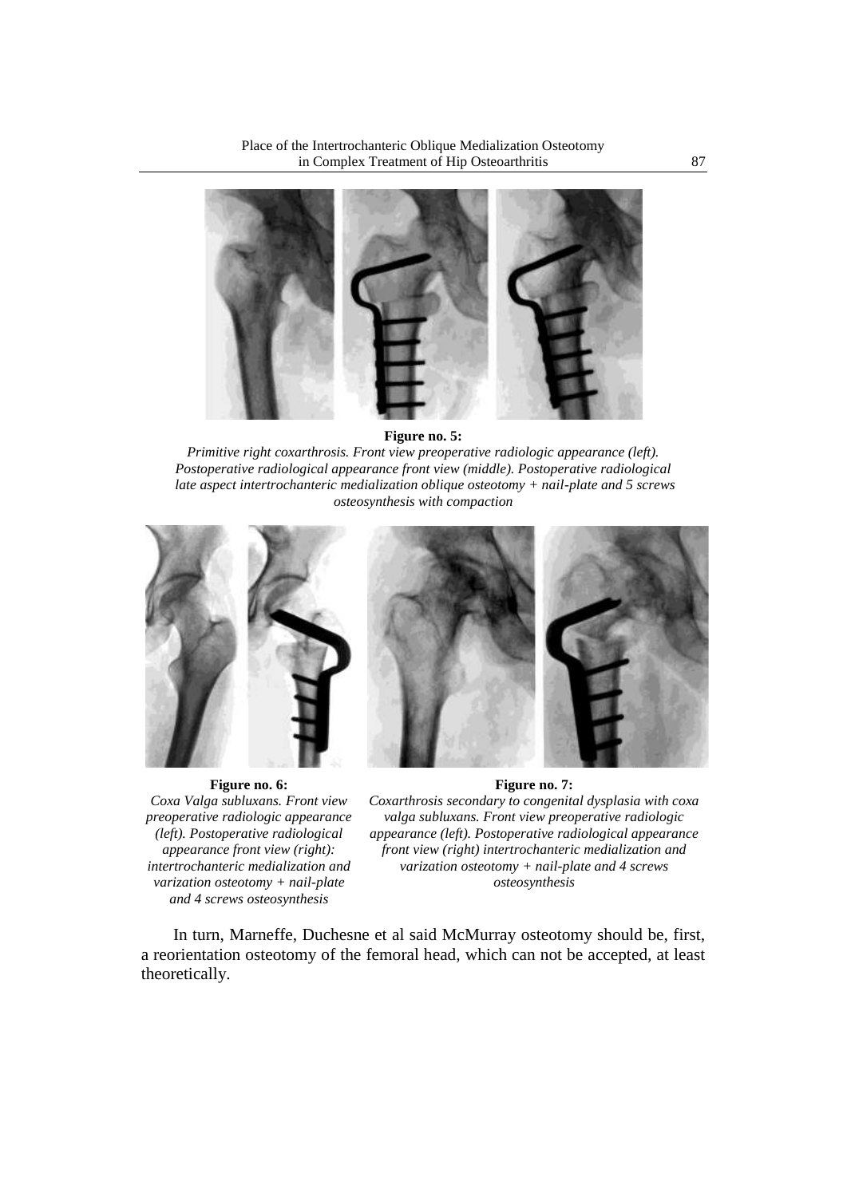Place of the Intertrochanteric Oblique Medialization Osteotomy in Complex Treatment of Hip Osteoarthritis 87



**Figure no. 5:**

*Primitive right coxarthrosis. Front view preoperative radiologic appearance (left). Postoperative radiological appearance front view (middle). Postoperative radiological late aspect intertrochanteric medialization oblique osteotomy + nail-plate and 5 screws osteosynthesis with compaction*



**Figure no. 6:** *Coxa Valga subluxans. Front view preoperative radiologic appearance (left). Postoperative radiological appearance front view (right): intertrochanteric medialization and varization osteotomy + nail-plate and 4 screws osteosynthesis*

**Figure no. 7:** *Coxarthrosis secondary to congenital dysplasia with coxa valga subluxans. Front view preoperative radiologic appearance (left). Postoperative radiological appearance front view (right) intertrochanteric medialization and varization osteotomy + nail-plate and 4 screws osteosynthesis*

In turn, Marneffe, Duchesne et al said McMurray osteotomy should be, first, a reorientation osteotomy of the femoral head, which can not be accepted, at least theoretically.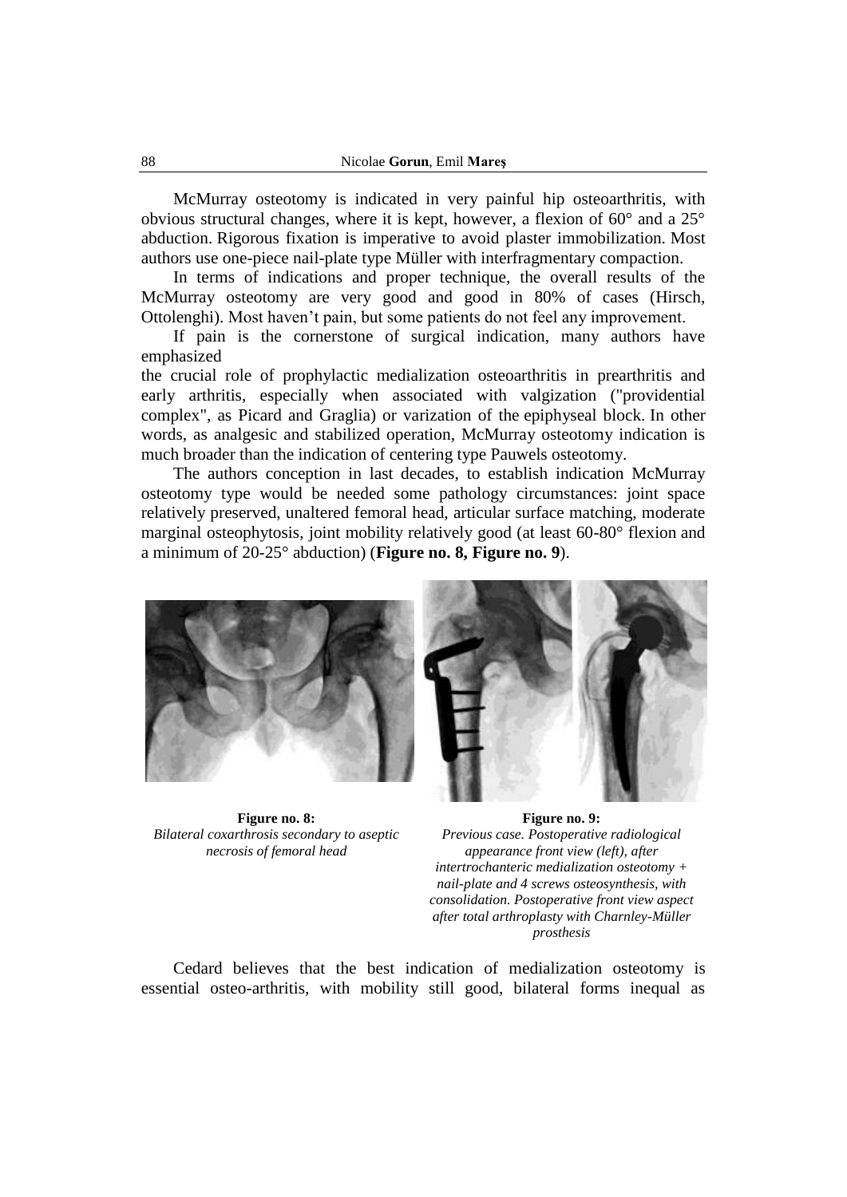McMurray osteotomy is indicated in very painful hip osteoarthritis, with obvious structural changes, where it is kept, however, a flexion of 60° and a 25° abduction. Rigorous fixation is imperative to avoid plaster immobilization. Most authors use one-piece nail-plate type Müller with interfragmentary compaction.

In terms of indications and proper technique, the overall results of the McMurray osteotomy are very good and good in 80% of cases (Hirsch, Ottolenghi). Most haven't pain, but some patients do not feel any improvement.

If pain is the cornerstone of surgical indication, many authors have emphasized

the crucial role of prophylactic medialization osteoarthritis in prearthritis and early arthritis, especially when associated with valgization ("providential complex", as Picard and Graglia) or varization of the epiphyseal block. In other words, as analgesic and stabilized operation, McMurray osteotomy indication is much broader than the indication of centering type Pauwels osteotomy.

The authors conception in last decades, to establish indication McMurray osteotomy type would be needed some pathology circumstances: joint space relatively preserved, unaltered femoral head, articular surface matching, moderate marginal osteophytosis, joint mobility relatively good (at least 60-80° flexion and a minimum of 20-25° abduction) (**Figure no. 8, Figure no. 9**).



**Figure no. 8:** *Bilateral coxarthrosis secondary to aseptic necrosis of femoral head*

**Figure no. 9:** *Previous case. Postoperative radiological appearance front view (left), after intertrochanteric medialization osteotomy + nail-plate and 4 screws osteosynthesis, with consolidation. Postoperative front view aspect after total arthroplasty with Charnley-Müller prosthesis*

Cedard believes that the best indication of medialization osteotomy is essential osteo-arthritis, with mobility still good, bilateral forms inequal as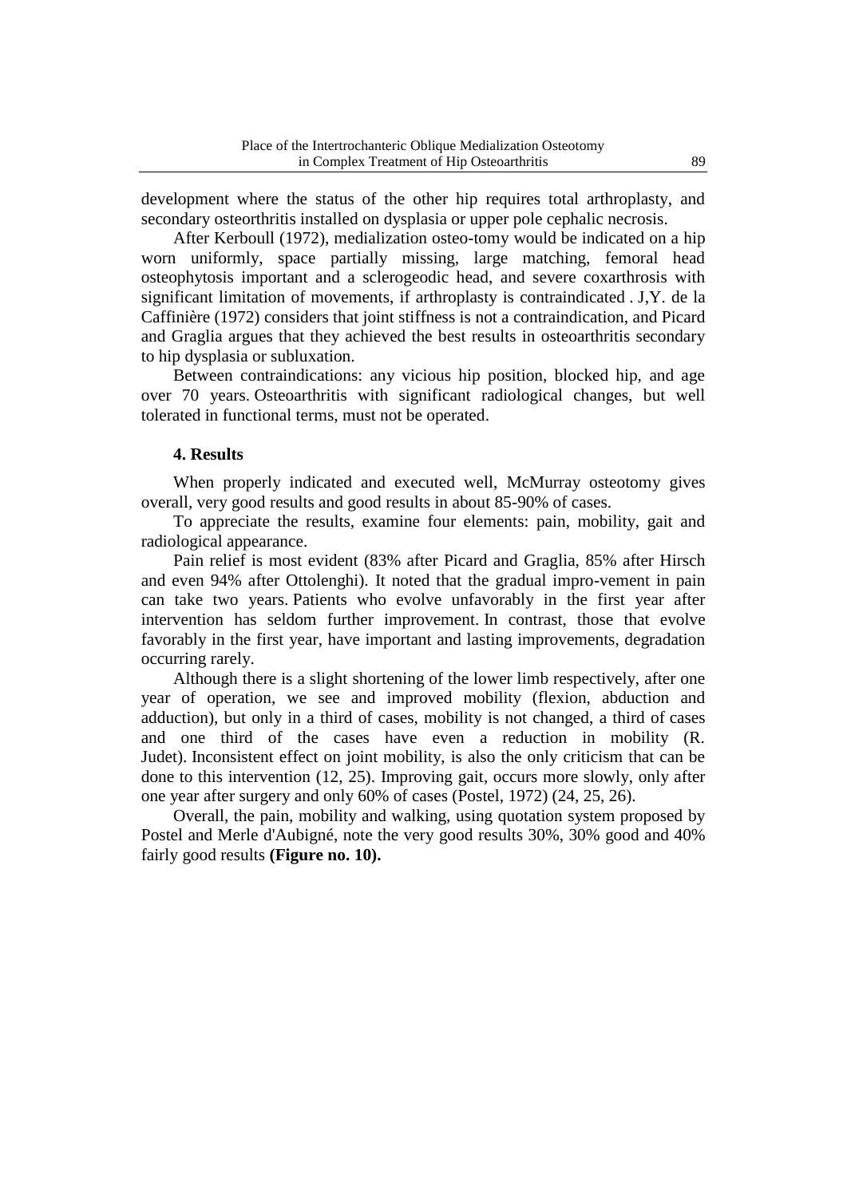development where the status of the other hip requires total arthroplasty, and secondary osteorthritis installed on dysplasia or upper pole cephalic necrosis.

After Kerboull (1972), medialization osteo-tomy would be indicated on a hip worn uniformly, space partially missing, large matching, femoral head osteophytosis important and a sclerogeodic head, and severe coxarthrosis with significant limitation of movements, if arthroplasty is contraindicated . J,Y. de la Caffinière (1972) considers that joint stiffness is not a contraindication, and Picard and Graglia argues that they achieved the best results in osteoarthritis secondary to hip dysplasia or subluxation.

Between contraindications: any vicious hip position, blocked hip, and age over 70 years. Osteoarthritis with significant radiological changes, but well tolerated in functional terms, must not be operated.

#### **4. Results**

When properly indicated and executed well, McMurray osteotomy gives overall, very good results and good results in about 85-90% of cases.

To appreciate the results, examine four elements: pain, mobility, gait and radiological appearance.

Pain relief is most evident (83% after Picard and Graglia, 85% after Hirsch and even 94% after Ottolenghi). It noted that the gradual impro-vement in pain can take two years. Patients who evolve unfavorably in the first year after intervention has seldom further improvement. In contrast, those that evolve favorably in the first year, have important and lasting improvements, degradation occurring rarely.

Although there is a slight shortening of the lower limb respectively, after one year of operation, we see and improved mobility (flexion, abduction and adduction), but only in a third of cases, mobility is not changed, a third of cases and one third of the cases have even a reduction in mobility (R. Judet). Inconsistent effect on joint mobility, is also the only criticism that can be done to this intervention (12, 25). Improving gait, occurs more slowly, only after one year after surgery and only 60% of cases (Postel, 1972) (24, 25, 26).

Overall, the pain, mobility and walking, using quotation system proposed by Postel and Merle d'Aubigné, note the very good results 30%, 30% good and 40% fairly good results **(Figure no. 10).**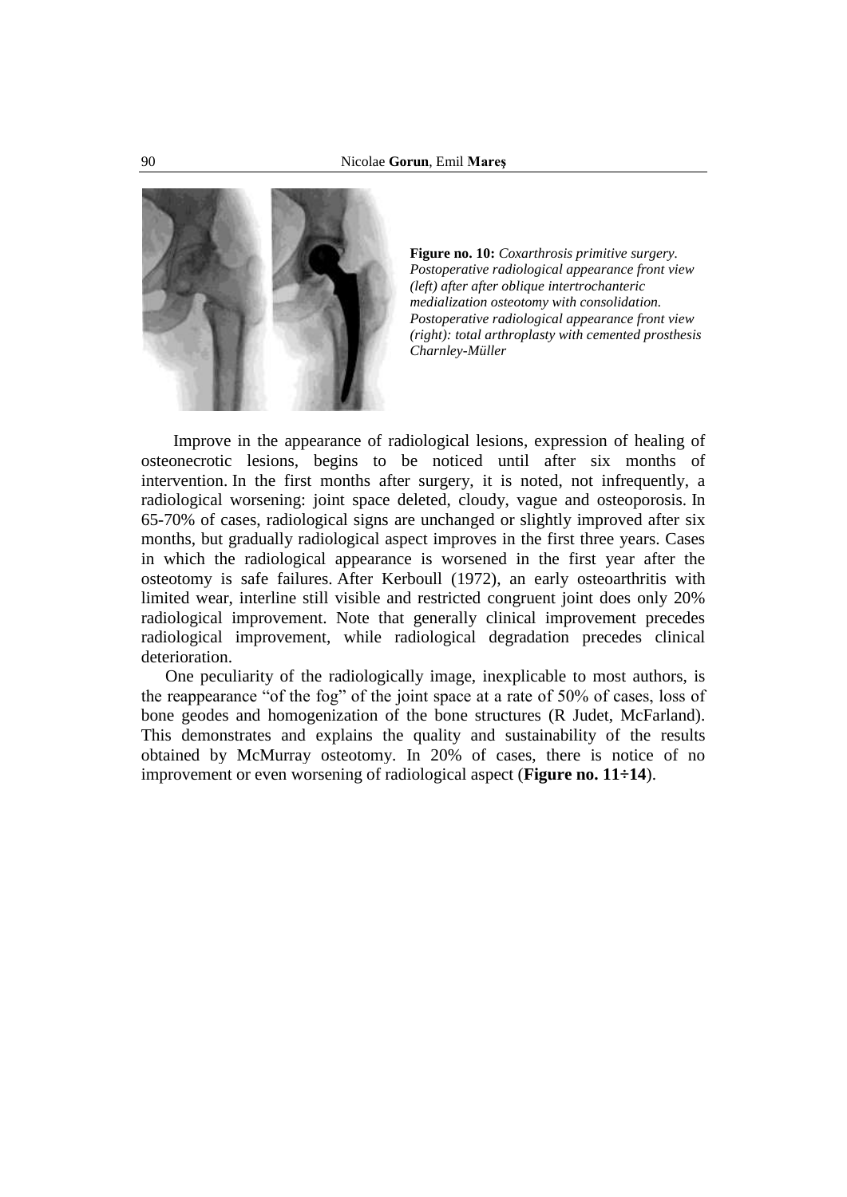

**Figure no. 10:** *Coxarthrosis primitive surgery. Postoperative radiological appearance front view (left) after after oblique intertrochanteric medialization osteotomy with consolidation. Postoperative radiological appearance front view (right): total arthroplasty with cemented prosthesis Charnley-Müller*

Improve in the appearance of radiological lesions, expression of healing of osteonecrotic lesions, begins to be noticed until after six months of intervention. In the first months after surgery, it is noted, not infrequently, a radiological worsening: joint space deleted, cloudy, vague and osteoporosis. In 65-70% of cases, radiological signs are unchanged or slightly improved after six months, but gradually radiological aspect improves in the first three years. Cases in which the radiological appearance is worsened in the first year after the osteotomy is safe failures. After Kerboull (1972), an early osteoarthritis with limited wear, interline still visible and restricted congruent joint does only 20% radiological improvement. Note that generally clinical improvement precedes radiological improvement, while radiological degradation precedes clinical deterioration.

One peculiarity of the radiologically image, inexplicable to most authors, is the reappearance "of the fog" of the joint space at a rate of 50% of cases, loss of bone geodes and homogenization of the bone structures (R Judet, McFarland). This demonstrates and explains the quality and sustainability of the results obtained by McMurray osteotomy. In 20% of cases, there is notice of no improvement or even worsening of radiological aspect (**Figure no. 11÷14**).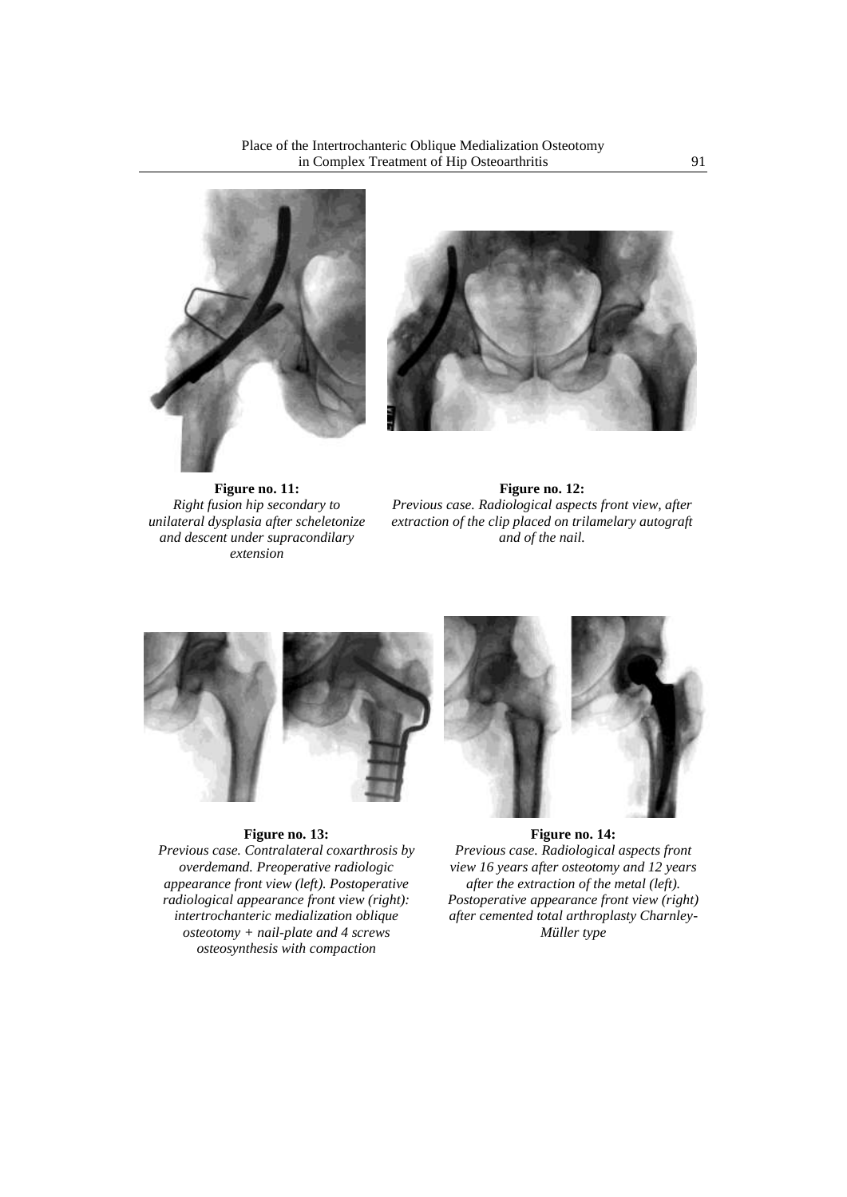



**Figure no. 11:** *Right fusion hip secondary to unilateral dysplasia after scheletonize and descent under supracondilary extension*

**Figure no. 12:** *Previous case. Radiological aspects front view, after extraction of the clip placed on trilamelary autograft and of the nail.*



## **Figure no. 13:**

*Previous case. Contralateral coxarthrosis by overdemand. Preoperative radiologic appearance front view (left). Postoperative radiological appearance front view (right): intertrochanteric medialization oblique osteotomy + nail-plate and 4 screws osteosynthesis with compaction*

#### **Figure no. 14:**

*Previous case. Radiological aspects front view 16 years after osteotomy and 12 years after the extraction of the metal (left). Postoperative appearance front view (right) after cemented total arthroplasty Charnley-Müller type*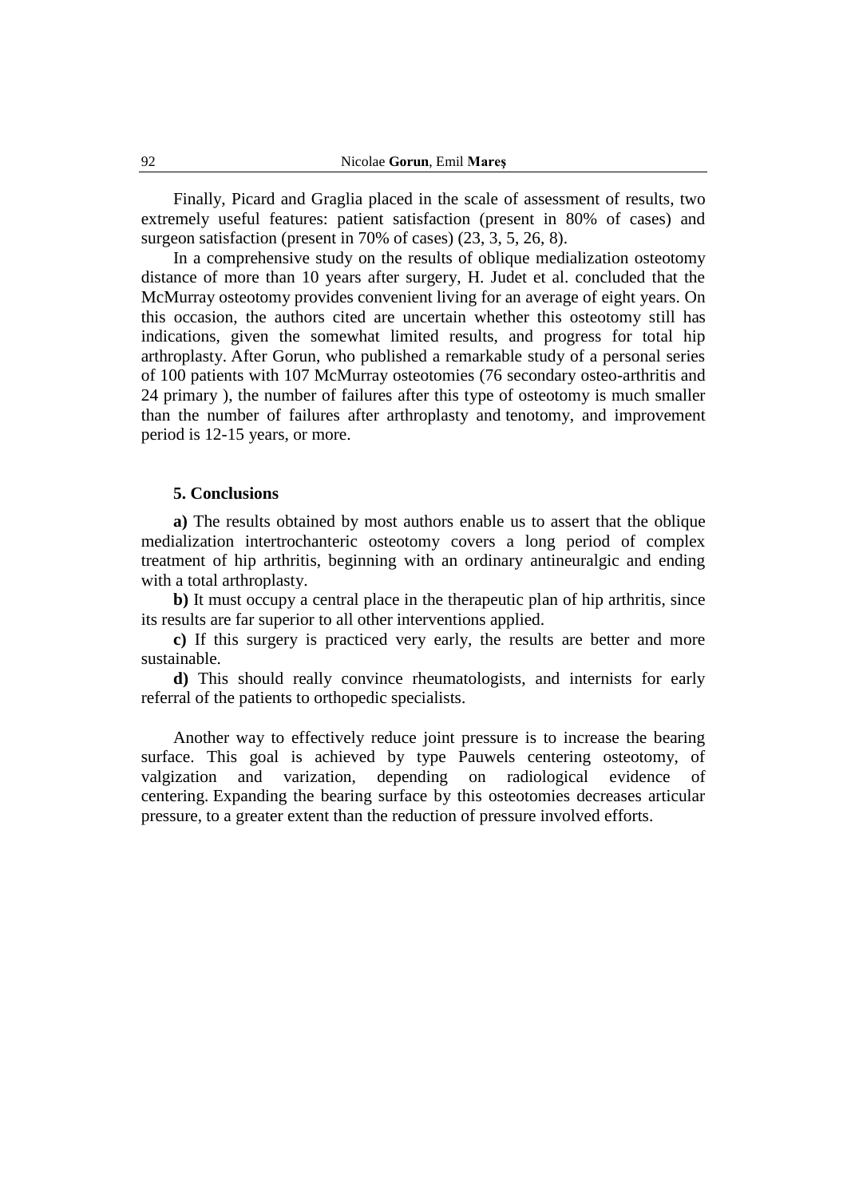Finally, Picard and Graglia placed in the scale of assessment of results, two extremely useful features: patient satisfaction (present in 80% of cases) and surgeon satisfaction (present in 70% of cases) (23, 3, 5, 26, 8).

In a comprehensive study on the results of oblique medialization osteotomy distance of more than 10 years after surgery, H. Judet et al. concluded that the McMurray osteotomy provides convenient living for an average of eight years. On this occasion, the authors cited are uncertain whether this osteotomy still has indications, given the somewhat limited results, and progress for total hip arthroplasty. After Gorun, who published a remarkable study of a personal series of 100 patients with 107 McMurray osteotomies (76 secondary osteo-arthritis and 24 primary ), the number of failures after this type of osteotomy is much smaller than the number of failures after arthroplasty and tenotomy, and improvement period is 12-15 years, or more.

#### **5. Conclusions**

**a)** The results obtained by most authors enable us to assert that the oblique medialization intertrochanteric osteotomy covers a long period of complex treatment of hip arthritis, beginning with an ordinary antineuralgic and ending with a total arthroplasty.

**b)** It must occupy a central place in the therapeutic plan of hip arthritis, since its results are far superior to all other interventions applied.

**c)** If this surgery is practiced very early, the results are better and more sustainable.

**d)** This should really convince rheumatologists, and internists for early referral of the patients to orthopedic specialists.

Another way to effectively reduce joint pressure is to increase the bearing surface. This goal is achieved by type Pauwels centering osteotomy, of valgization and varization, depending on radiological evidence of centering. Expanding the bearing surface by this osteotomies decreases articular pressure, to a greater extent than the reduction of pressure involved efforts.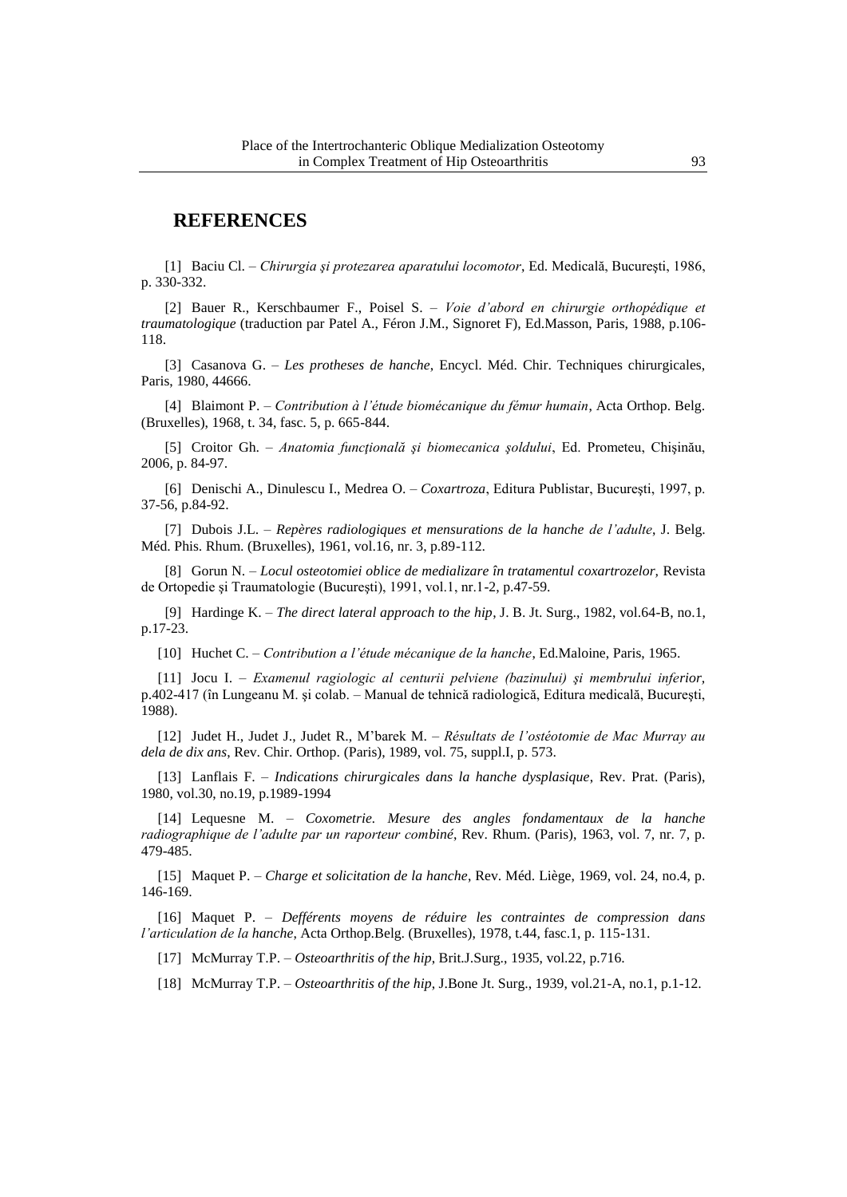## **REFERENCES**

[1] Baciu Cl. – *Chirurgia şi protezarea aparatului locomotor*, Ed. Medicală, Bucureşti, 1986, p. 330-332.

[2] Bauer R., Kerschbaumer F., Poisel S. – *Voie d'abord en chirurgie orthopédique et traumatologique* (traduction par Patel A., Féron J.M., Signoret F), Ed.Masson, Paris, 1988, p.106- 118.

[3] Casanova G. – *Les protheses de hanche*, Encycl. Méd. Chir. Techniques chirurgicales, Paris, 1980, 44666.

[4] Blaimont P. – *Contribution à l'étude biomécanique du fémur humain*, Acta Orthop. Belg. (Bruxelles), 1968, t. 34, fasc. 5, p. 665-844.

[5] Croitor Gh. – *Anatomia funcţională şi biomecanica şoldului*, Ed. Prometeu, Chişinău, 2006, p. 84-97.

[6] Denischi A., Dinulescu I., Medrea O. – *Coxartroza*, Editura Publistar, Bucureşti, 1997, p. 37-56, p.84-92.

[7] Dubois J.L. – *Repères radiologiques et mensurations de la hanche de l'adulte*, J. Belg. Méd. Phis. Rhum. (Bruxelles), 1961, vol.16, nr. 3, p.89-112.

[8] Gorun N. – *Locul osteotomiei oblice de medializare în tratamentul coxartrozelor,* Revista de Ortopedie şi Traumatologie (Bucureşti), 1991, vol.1, nr.1-2, p.47-59.

[9] Hardinge K. – *The direct lateral approach to the hip*, J. B. Jt. Surg., 1982, vol.64-B, no.1, p.17-23.

[10] Huchet C. – *Contribution a l'étude mécanique de la hanche*, Ed.Maloine, Paris, 1965.

[11] Jocu I. – *Examenul ragiologic al centurii pelviene (bazinului) şi membrului inferior,* p.402-417 (în Lungeanu M. şi colab. – Manual de tehnică radiologică, Editura medicală, Bucureşti, 1988).

[12] Judet H., Judet J., Judet R., M'barek M. – *Résultats de l'ostéotomie de Mac Murray au dela de dix ans*, Rev. Chir. Orthop. (Paris), 1989, vol. 75, suppl.I, p. 573.

[13] Lanflais F. – *Indications chirurgicales dans la hanche dysplasique*, Rev. Prat. (Paris), 1980, vol.30, no.19, p.1989-1994

[14] Lequesne M. – *Coxometrie. Mesure des angles fondamentaux de la hanche radiographique de l'adulte par un raporteur combiné*, Rev. Rhum. (Paris), 1963, vol. 7, nr. 7, p. 479-485.

[15] Maquet P. – *Charge et solicitation de la hanche*, Rev. Méd. Liège, 1969, vol. 24, no.4, p. 146-169.

[16] Maquet P. – *Defférents moyens de réduire les contraintes de compression dans l'articulation de la hanche*, Acta Orthop.Belg. (Bruxelles), 1978, t.44, fasc.1, p. 115-131.

[17] McMurray T.P. – *Osteoarthritis of the hip*, Brit.J.Surg., 1935, vol.22, p.716.

[18] McMurray T.P. – *Osteoarthritis of the hip*, J.Bone Jt. Surg., 1939, vol.21-A, no.1, p.1-12.